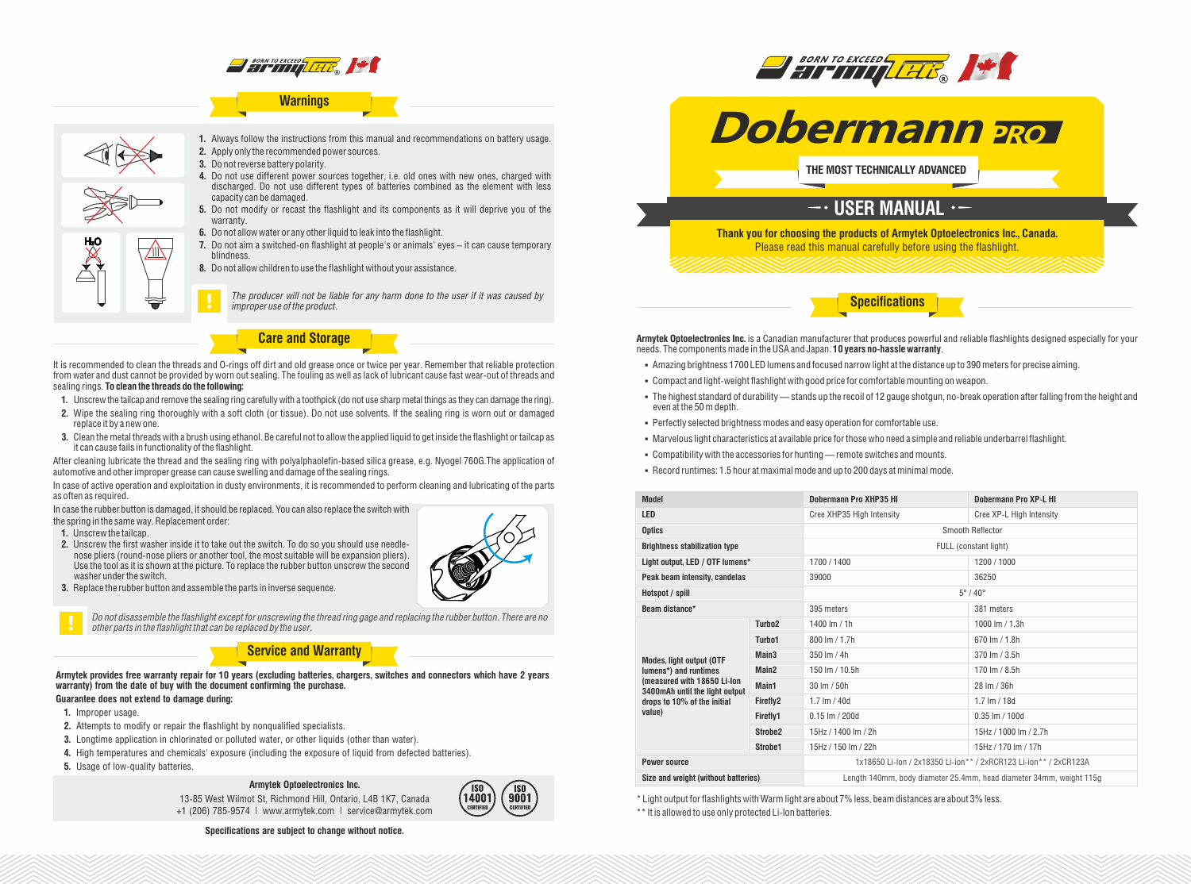

## **Warnings**



**1.** Always follow the instructions from this manual and recommendations on battery usage. **2.** Apply only the recommended power sources.

- **3.** Do not reverse battery polarity.
- **4.** Do not use different power sources together, i.e. old ones with new ones, charged with discharged. Do not use different types of batteries combined as the element with less capacity can be damaged.
- **5.** Do not modify or recast the flashlight and its components as it will deprive you of the warranty.
- **6.** Do not allow water or any other liquid to leak into the flashlight.
- **7.** Do not aim a switched-on flashlight at people's or animals' eyes it can cause temporary blindness.
- **8.** Do not allow children to use the flashlight without your assistance.

*The producer will not be liable for any harm done to the user if it was caused by improper use of the product.*

**Care and Storage**

It is recommended to clean the threads and O-rings off dirt and old grease once or twice per year. Remember that reliable protection from water and dust cannot be provided by worn out sealing. The fouling as well as lack of lubricant cause fast wear-out of threads and sealing rings. **To clean the threads do the following:**

- **1.** Unscrew the tailcap and remove the sealing ring carefully with a toothpick (do not use sharp metal things as they can damage the ring).
- **2.** Wipe the sealing ring thoroughly with a soft cloth (or tissue). Do not use solvents. If the sealing ring is worn out or damaged replace it by a new one.
- **3.** Clean the metal threads with a brush using ethanol. Be careful not to allow the applied liquid to get inside the flashlight or tailcap as it can cause fails in functionality of the flashlight.

After cleaning lubricate the thread and the sealing ring with polyalphaolefin-based silica grease, e.g. Nyogel 760G.The application of automotive and other improper grease can cause swelling and damage of the sealing rings.

In case of active operation and exploitation in dusty environments, it is recommended to perform cleaning and lubricating of the parts as often as required.

In case the rubber button is damaged, it should be replaced. You can also replace the switch with

the spring in the same way. Replacement order:

- **1.** Unscrew the tailcap.
- **2.** Unscrew the first washer inside it to take out the switch. To do so you should use needlenose pliers (round-nose pliers or another tool, the most suitable will be expansion pliers). Use the tool as it is shown at the picture. To replace the rubber button unscrew the second washer under the switch.
- **3.** Replace the rubber button and assemble the parts in inverse sequence.



*Do not disassemble the flashlight except for unscrewing the thread ring gage and replacing the rubber button. There are no other parts in the flashlight that can be replaced by the user.*

### **Service and Warranty**

**Armytek provides free warranty repair for 10 years (excluding batteries, chargers, switches and connectors which have 2 years warranty) from the date of buy with the document confirming the purchase.**

## **Guarantee does not extend to damage during:**

- **1.** Improper usage.
- **2.** Attempts to modify or repair the flashlight by nonqualified specialists.
- **3.** Longtime application in chlorinated or polluted water, or other liquids (other than water).
- **4.** High temperatures and chemicals' exposure (including the exposure of liquid from defected batteries).
- **5.** Usage of low-quality batteries.

### **Armytek Optoelectronics Inc.**

13-85 West Wilmot St, Richmond Hill, Ontario, L4B 1K7, Canada +1 (206) 785-9574 | www.armytek.com | service@armytek.com



**Specifications are subject to change without notice.**



**Dobermann**

**BORN TO EXCEED THE REAL PROPERTY OF REAL PROPERTY OF REAL PROPERTY.** 

**THE MOST TECHNICALLY ADVANCED**

## $\overline{\phantom{a}}$  USER MANUAL  $\cdot$  –

**Thank you for choosing the products of Armytek Optoelectronics Inc., Canada.** Please read this manual carefully before using the flashlight.

**Specifications**

Armytek Optoelectronics Inc. is a Canadian manufacturer that produces powerful and reliable flashlights designed especially for your needs. The components made in the USA and Japan. **10 years no-hassle warranty**.

- § Amazing brightness 1700 LED lumens and focused narrow light at the distance up to 390meters for precise aiming.
- § Compact and light-weight flashlight with good price for comfortable mounting on weapon.
- § The highest standard of durability stands up the recoil of 12 gauge shotgun, no-break operation after falling from the height and even at the 50 m depth.
- § Perfectly selected brightness modes and easy operation for comfortable use.
- § Marvelous light characteristics at available price for those who need a simple and reliable underbarrel flashlight.
- § Compatibility with the accessories for hunting remote switches and mounts.
- § Record runtimes: 1.5 hour at maximal mode and up to 200 days at minimal mode.

| <b>Model</b>                                                                                                                                                       |                     | Dobermann Pro XHP35 HI                                              | Dobermann Pro XP-L HI    |
|--------------------------------------------------------------------------------------------------------------------------------------------------------------------|---------------------|---------------------------------------------------------------------|--------------------------|
| <b>LED</b>                                                                                                                                                         |                     | Cree XHP35 High Intensity                                           | Cree XP-L High Intensity |
| <b>Optics</b>                                                                                                                                                      |                     | Smooth Reflector                                                    |                          |
| <b>Brightness stabilization type</b>                                                                                                                               |                     | FULL (constant light)                                               |                          |
| Light output, LED / OTF lumens*                                                                                                                                    |                     | 1700/1400                                                           | 1200 / 1000              |
| Peak beam intensity, candelas                                                                                                                                      |                     | 39000                                                               | 36250                    |
| Hotspot / spill                                                                                                                                                    |                     | $5^\circ/40^\circ$                                                  |                          |
| Beam distance*                                                                                                                                                     |                     | 395 meters                                                          | 381 meters               |
| <b>Modes, light output (OTF</b><br>lumens*) and runtimes<br>(measured with 18650 Li-lon<br>3400mAh until the light output<br>drops to 10% of the initial<br>value) | Turbo <sub>2</sub>  | 1400 lm / 1h                                                        | 1000 lm / 1.3h           |
|                                                                                                                                                                    | Turbo1              | 800 lm / 1.7h                                                       | 670 lm / 1.8h            |
|                                                                                                                                                                    | Main <sub>3</sub>   | 350 lm / 4h                                                         | 370 lm / 3.5h            |
|                                                                                                                                                                    | Main <sub>2</sub>   | 150 lm / 10.5h                                                      | 170 lm / 8.5h            |
|                                                                                                                                                                    | Main1               | $30 \, \text{Im} / 50 \, \text{h}$                                  | 28 Im / 36h              |
|                                                                                                                                                                    | Firefly2            | 1.7 $Im / 40d$                                                      | $1.7 \text{ Im} / 18d$   |
|                                                                                                                                                                    | Firefly1            | $0.15$ lm $/$ 200d                                                  | $0.35$ lm $/ 100d$       |
|                                                                                                                                                                    | Strobe <sub>2</sub> | 15Hz / 1400 lm / 2h                                                 | 15Hz / 1000 lm / 2.7h    |
|                                                                                                                                                                    | Strobe1             | 15Hz / 150 lm / 22h                                                 | 15Hz / 170 lm / 17h      |
| <b>Power source</b>                                                                                                                                                |                     | 1x18650 Li-lon / 2x18350 Li-ion** / 2xRCR123 Li-ion** / 2xCR123A    |                          |
| Size and weight (without batteries)                                                                                                                                |                     | Length 140mm, body diameter 25.4mm, head diameter 34mm, weight 115g |                          |

\* Light output for flashlights with Warm light are about 7% less, beam distances are about 3% less.

\*\* It is allowed to use only protected Li-Ion batteries.